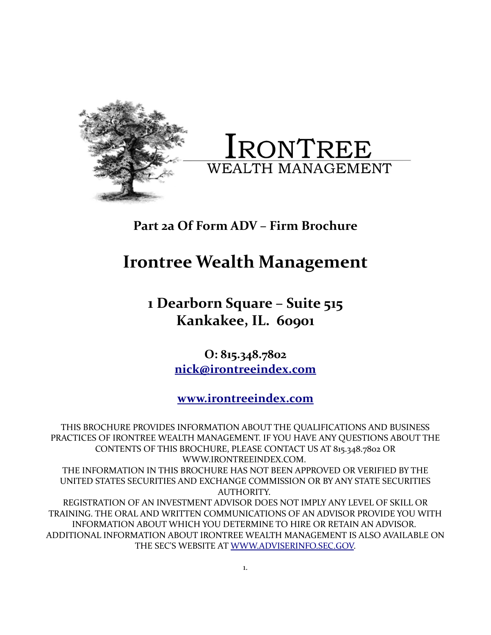



# **Part 2a Of Form ADV – Firm Brochure**

# **Irontree Wealth Management**

**1 Dearborn Square – Suite 515 Kankakee, IL. 60901**

> **O: 815.348.7802 [nick@irontreeindex.com](mailto:nickolas.simoneau@ironwood-index.com)**

**[www.irontreeindex.com](http://www.ironwood-index.com/)**

THIS BROCHURE PROVIDES INFORMATION ABOUT THE QUALIFICATIONS AND BUSINESS PRACTICES OF IRONTREE WEALTH MANAGEMENT. IF YOU HAVE ANY QUESTIONS ABOUT THE CONTENTS OF THIS BROCHURE, PLEASE CONTACT US AT 815.348.7802 OR WWW.IRONTREEINDEX.COM. THE INFORMATION IN THIS BROCHURE HAS NOT BEEN APPROVED OR VERIFIED BY THE UNITED STATES SECURITIES AND EXCHANGE COMMISSION OR BY ANY STATE SECURITIES AUTHORITY. REGISTRATION OF AN INVESTMENT ADVISOR DOES NOT IMPLY ANY LEVEL OF SKILL OR TRAINING. THE ORAL AND WRITTEN COMMUNICATIONS OF AN ADVISOR PROVIDE YOU WITH INFORMATION ABOUT WHICH YOU DETERMINE TO HIRE OR RETAIN AN ADVISOR. ADDITIONAL INFORMATION ABOUT IRONTREE WEALTH MANAGEMENT IS ALSO AVAILABLE ON THE SEC'S WEBSITE AT [WWW.ADVISERINFO.SEC.GOV.](http://WWW.ADVISERINFO.SEC.GOV/)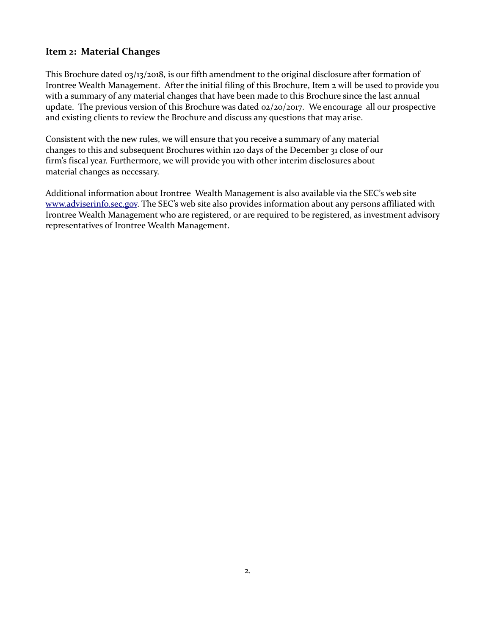#### **Item 2: Material Changes**

This Brochure dated 03/13/2018, is our fifth amendment to the original disclosure after formation of Irontree Wealth Management. After the initial filing of this Brochure, Item 2 will be used to provide you with a summary of any material changes that have been made to this Brochure since the last annual update. The previous version of this Brochure was dated 02/20/2017. We encourage all our prospective and existing clients to review the Brochure and discuss any questions that may arise.

Consistent with the new rules, we will ensure that you receive a summary of any material changes to this and subsequent Brochures within 120 days of the December 31 close of our firm's fiscal year. Furthermore, we will provide you with other interim disclosures about material changes as necessary.

Additional information about Irontree Wealth Management is also available via the SEC's web site [www.adviserinfo.sec.gov.](http://www.adviserinfo.sec.gov/) The SEC's web site also provides information about any persons affiliated with Irontree Wealth Management who are registered, or are required to be registered, as investment advisory representatives of Irontree Wealth Management.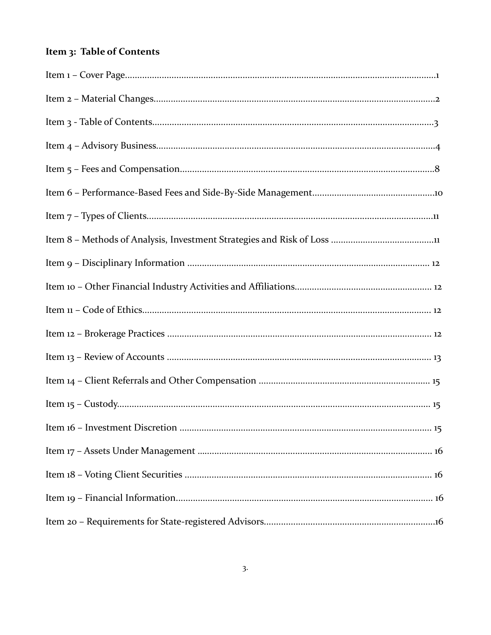# Item 3: Table of Contents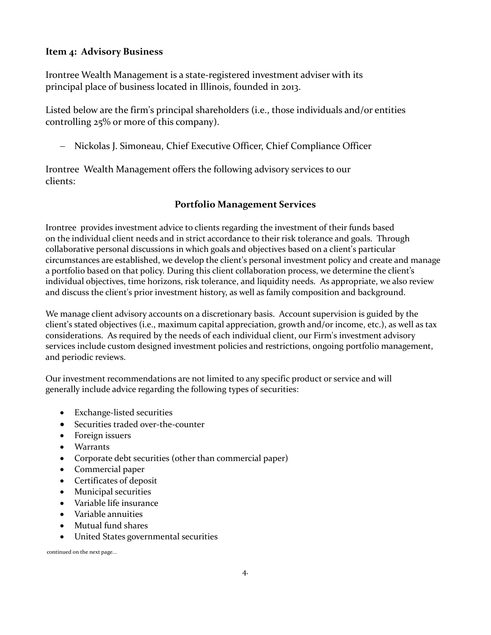# **Item 4: Advisory Business**

Irontree Wealth Management is a state-registered investment adviser with its principal place of business located in Illinois, founded in 2013.

Listed below are the firm's principal shareholders (i.e., those individuals and/or entities controlling 25% or more of this company).

- Nickolas J. Simoneau, Chief Executive Officer, Chief Compliance Officer

Irontree Wealth Management offers the following advisory services to our clients:

# **Portfolio Management Services**

Irontree provides investment advice to clients regarding the investment of their funds based on the individual client needs and in strict accordance to their risk tolerance and goals. Through collaborative personal discussions in which goals and objectives based on a client's particular circumstances are established, we develop the client's personal investment policy and create and manage a portfolio based on that policy. During this client collaboration process, we determine the client's individual objectives, time horizons, risk tolerance, and liquidity needs. As appropriate, we also review and discuss the client's prior investment history, as well as family composition and background.

We manage client advisory accounts on a discretionary basis. Account supervision is guided by the client's stated objectives (i.e., maximum capital appreciation, growth and/or income, etc.), as well as tax considerations. As required by the needs of each individual client, our Firm's investment advisory services include custom designed investment policies and restrictions, ongoing portfolio management, and periodic reviews.

Our investment recommendations are not limited to any specific product or service and will generally include advice regarding the following types of securities:

- Exchange-listed securities
- Securities traded over-the-counter
- Foreign issuers
- Warrants
- Corporate debt securities (other than commercial paper)
- Commercial paper
- Certificates of deposit
- Municipal securities
- Variable life insurance
- Variable annuities
- Mutual fund shares
- United States governmental securities

continued on the next page...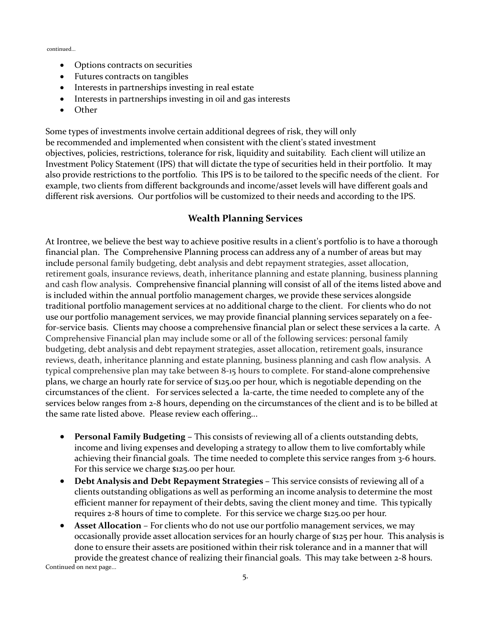continued...

- Options contracts on securities
- Futures contracts on tangibles
- Interests in partnerships investing in real estate
- Interests in partnerships investing in oil and gas interests
- Other

Some types of investments involve certain additional degrees of risk, they will only be recommended and implemented when consistent with the client's stated investment objectives, policies, restrictions, tolerance for risk, liquidity and suitability. Each client will utilize an Investment Policy Statement (IPS) that will dictate the type of securities held in their portfolio. It may also provide restrictions to the portfolio. This IPS is to be tailored to the specific needs of the client. For example, two clients from different backgrounds and income/asset levels will have different goals and different risk aversions. Our portfolios will be customized to their needs and according to the IPS.

#### **Wealth Planning Services**

At Irontree, we believe the best way to achieve positive results in a client's portfolio is to have a thorough financial plan. The Comprehensive Planning process can address any of a number of areas but may include personal family budgeting, debt analysis and debt repayment strategies, asset allocation, retirement goals, insurance reviews, death, inheritance planning and estate planning, business planning and cash flow analysis. Comprehensive financial planning will consist of all of the items listed above and is included within the annual portfolio management charges, we provide these services alongside traditional portfolio management services at no additional charge to the client. For clients who do not use our portfolio management services, we may provide financial planning services separately on a feefor-service basis. Clients may choose a comprehensive financial plan or select these services a la carte. A Comprehensive Financial plan may include some or all of the following services: personal family budgeting, debt analysis and debt repayment strategies, asset allocation, retirement goals, insurance reviews, death, inheritance planning and estate planning, business planning and cash flow analysis. A typical comprehensive plan may take between 8-15 hours to complete. For stand-alone comprehensive plans, we charge an hourly rate for service of \$125.00 per hour, which is negotiable depending on the circumstances of the client. For services selected a la-carte, the time needed to complete any of the services below ranges from 2-8 hours, depending on the circumstances of the client and is to be billed at the same rate listed above. Please review each offering...

- **Personal Family Budgeting –** This consists of reviewing all of a clients outstanding debts, income and living expenses and developing a strategy to allow them to live comfortably while achieving their financial goals. The time needed to complete this service ranges from 3-6 hours. For this service we charge \$125.00 per hour.
- **Debt Analysis and Debt Repayment Strategies –** This service consists of reviewing all of a clients outstanding obligations as well as performing an income analysis to determine the most efficient manner for repayment of their debts, saving the client money and time. This typically requires 2-8 hours of time to complete. For this service we charge \$125.00 per hour.
- **Asset Allocation** For clients who do not use our portfolio management services, we may occasionally provide asset allocation services for an hourly charge of \$125 per hour. This analysis is done to ensure their assets are positioned within their risk tolerance and in a manner that will provide the greatest chance of realizing their financial goals. This may take between 2-8 hours.

Continued on next page...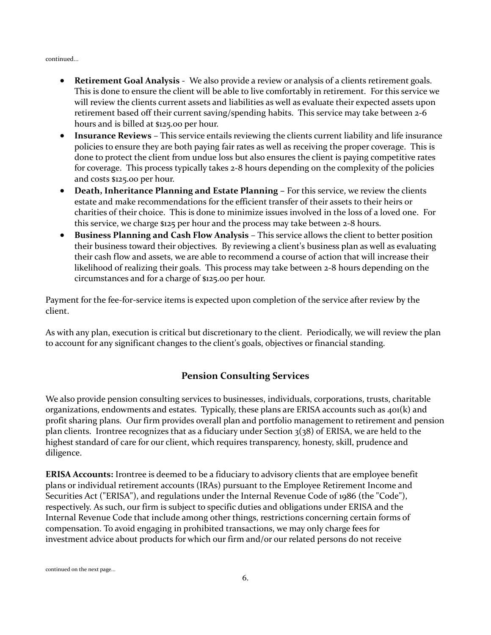continued...

- **Retirement Goal Analysis** We also provide a review or analysis of a clients retirement goals. This is done to ensure the client will be able to live comfortably in retirement. For this service we will review the clients current assets and liabilities as well as evaluate their expected assets upon retirement based off their current saving/spending habits. This service may take between 2-6 hours and is billed at \$125.00 per hour.
- **Insurance Reviews** This service entails reviewing the clients current liability and life insurance policies to ensure they are both paying fair rates as well as receiving the proper coverage. This is done to protect the client from undue loss but also ensures the client is paying competitive rates for coverage. This process typically takes 2-8 hours depending on the complexity of the policies and costs \$125.00 per hour.
- **Death, Inheritance Planning and Estate Planning -** For this service, we review the clients estate and make recommendations for the efficient transfer of their assets to their heirs or charities of their choice. This is done to minimize issues involved in the loss of a loved one. For this service, we charge \$125 per hour and the process may take between 2-8 hours.
- **Business Planning and Cash Flow Analysis** This service allows the client to better position their business toward their objectives. By reviewing a client's business plan as well as evaluating their cash flow and assets, we are able to recommend a course of action that will increase their likelihood of realizing their goals. This process may take between 2-8 hours depending on the circumstances and for a charge of \$125.00 per hour.

Payment for the fee-for-service items is expected upon completion of the service after review by the client.

As with any plan, execution is critical but discretionary to the client. Periodically, we will review the plan to account for any significant changes to the client's goals, objectives or financial standing.

#### **Pension Consulting Services**

We also provide pension consulting services to businesses, individuals, corporations, trusts, charitable organizations, endowments and estates. Typically, these plans are ERISA accounts such as 401(k) and profit sharing plans. Our firm provides overall plan and portfolio management to retirement and pension plan clients. Irontree recognizes that as a fiduciary under Section  $3(38)$  of ERISA, we are held to the highest standard of care for our client, which requires transparency, honesty, skill, prudence and diligence.

**ERISA Accounts:** Irontree is deemed to be a fiduciary to advisory clients that are employee benefit plans or individual retirement accounts (IRAs) pursuant to the Employee Retirement Income and Securities Act ("ERISA"), and regulations under the Internal Revenue Code of 1986 (the "Code"), respectively. As such, our firm is subject to specific duties and obligations under ERISA and the Internal Revenue Code that include among other things, restrictions concerning certain forms of compensation. To avoid engaging in prohibited transactions, we may only charge fees for investment advice about products for which our firm and/or our related persons do not receive

continued on the next page...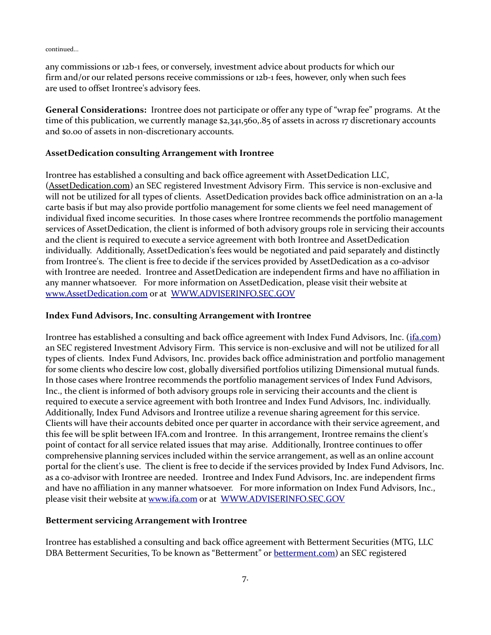continued...

any commissions or 12b-1 fees, or conversely, investment advice about products for which our firm and/or our related persons receive commissions or 12b-1 fees, however, only when such fees are used to offset Irontree's advisory fees.

**General Considerations:** Irontree does not participate or offer any type of "wrap fee" programs. At the time of this publication, we currently manage \$2,341,560,.85 of assets in across 17 discretionary accounts and \$0.00 of assets in non-discretionary accounts.

#### **AssetDedication consulting Arrangement with Irontree**

Irontree has established a consulting and back office agreement with AssetDedication LLC, (AssetDedication.com) an SEC registered Investment Advisory Firm. This service is non-exclusive and will not be utilized for all types of clients. AssetDedication provides back office administration on an a-la carte basis if but may also provide portfolio management for some clients we feel need management of individual fixed income securities. In those cases where Irontree recommends the portfolio management services of AssetDedication, the client is informed of both advisory groups role in servicing their accounts and the client is required to execute a service agreement with both Irontree and AssetDedication individually. Additionally, AssetDedication's fees would be negotiated and paid separately and distinctly from Irontree's. The client is free to decide if the services provided by AssetDedication as a co-advisor with Irontree are needed. Irontree and AssetDedication are independent firms and have no affiliation in any manner whatsoever. For more information on AssetDedication, please visit their website at [www.AssetDedication.com](http://www.assetdedication.com/) or at [WWW.ADVISERINFO.SEC.GOV](http://WWW.ADVISERINFO.SEC.GOV/)

#### **Index Fund Advisors, Inc. consulting Arrangement with Irontree**

Irontree has established a consulting and back office agreement with Index Fund Advisors, Inc. [\(ifa.com\)](http://www.ifa.com/) an SEC registered Investment Advisory Firm. This service is non-exclusive and will not be utilized for all types of clients. Index Fund Advisors, Inc. provides back office administration and portfolio management for some clients who descire low cost, globally diversified portfolios utilizing Dimensional mutual funds. In those cases where Irontree recommends the portfolio management services of Index Fund Advisors, Inc., the client is informed of both advisory groups role in servicing their accounts and the client is required to execute a service agreement with both Irontree and Index Fund Advisors, Inc. individually. Additionally, Index Fund Advisors and Irontree utilize a revenue sharing agreement for this service. Clients will have their accounts debited once per quarter in accordance with their service agreement, and this fee will be split between IFA.com and Irontree. In this arrangement, Irontree remains the client's point of contact for all service related issues that may arise. Additionally, Irontree continues to offer comprehensive planning services included within the service arrangement, as well as an online account portal for the client's use. The client is free to decide if the services provided by Index Fund Advisors, Inc. as a co-advisor with Irontree are needed. Irontree and Index Fund Advisors, Inc. are independent firms and have no affiliation in any manner whatsoever. For more information on Index Fund Advisors, Inc., please visit their website at [www.ifa.com](http://www.ifa.com/) or at [WWW.ADVISERINFO.SEC.GOV](http://WWW.ADVISERINFO.SEC.GOV/)

#### **Betterment servicing Arrangement with Irontree**

Irontree has established a consulting and back office agreement with Betterment Securities (MTG, LLC DBA Betterment Securities, To be known as "Betterment" or [betterment.com\)](http://www.betterment.com/) an SEC registered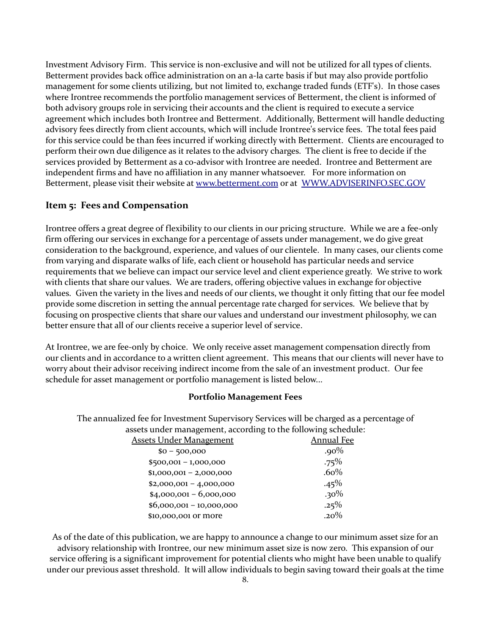Investment Advisory Firm. This service is non-exclusive and will not be utilized for all types of clients. Betterment provides back office administration on an a-la carte basis if but may also provide portfolio management for some clients utilizing, but not limited to, exchange traded funds (ETF's). In those cases where Irontree recommends the portfolio management services of Betterment, the client is informed of both advisory groups role in servicing their accounts and the client is required to execute a service agreement which includes both Irontree and Betterment. Additionally, Betterment will handle deducting advisory fees directly from client accounts, which will include Irontree's service fees. The total fees paid for this service could be than fees incurred if working directly with Betterment. Clients are encouraged to perform their own due diligence as it relates to the advisory charges. The client is free to decide if the services provided by Betterment as a co-advisor with Irontree are needed. Irontree and Betterment are independent firms and have no affiliation in any manner whatsoever. For more information on Betterment, please visit their website at [www.betterment.com](http://www.assetdedication.com/) or at [WWW.ADVISERINFO.SEC.GOV](http://WWW.ADVISERINFO.SEC.GOV/)

#### **Item 5: Fees and Compensation**

Irontree offers a great degree of flexibility to our clients in our pricing structure. While we are a fee-only firm offering our services in exchange for a percentage of assets under management, we do give great consideration to the background, experience, and values of our clientele. In many cases, our clients come from varying and disparate walks of life, each client or household has particular needs and service requirements that we believe can impact our service level and client experience greatly. We strive to work with clients that share our values. We are traders, offering objective values in exchange for objective values. Given the variety in the lives and needs of our clients, we thought it only fitting that our fee model provide some discretion in setting the annual percentage rate charged for services. We believe that by focusing on prospective clients that share our values and understand our investment philosophy, we can better ensure that all of our clients receive a superior level of service.

At Irontree, we are fee-only by choice. We only receive asset management compensation directly from our clients and in accordance to a written client agreement. This means that our clients will never have to worry about their advisor receiving indirect income from the sale of an investment product. Our fee schedule for asset management or portfolio management is listed below...

#### **Portfolio Management Fees**

The annualized fee for Investment Supervisory Services will be charged as a percentage of assets under management, according to the following schedule:

| <u> Assets Under Management</u> | <b>Annual Fee</b> |
|---------------------------------|-------------------|
| $$0 - 500,000$                  | .90%              |
| $$500,001 - 1,000,000$          | .75%              |
| $$1,000,001 - 2,000,000$        | $.60\%$           |
| $$2,000,001 - 4,000,000$        | .45%              |
| $$4,000,001 - 6,000,000$        | $.30\%$           |
| $$6,000,001 - 10,000,000$       | .25%              |
| \$10,000,001 or more            | $.20\%$           |
|                                 |                   |

As of the date of this publication, we are happy to announce a change to our minimum asset size for an advisory relationship with Irontree, our new minimum asset size is now zero. This expansion of our service offering is a significant improvement for potential clients who might have been unable to qualify under our previous asset threshold. It will allow individuals to begin saving toward their goals at the time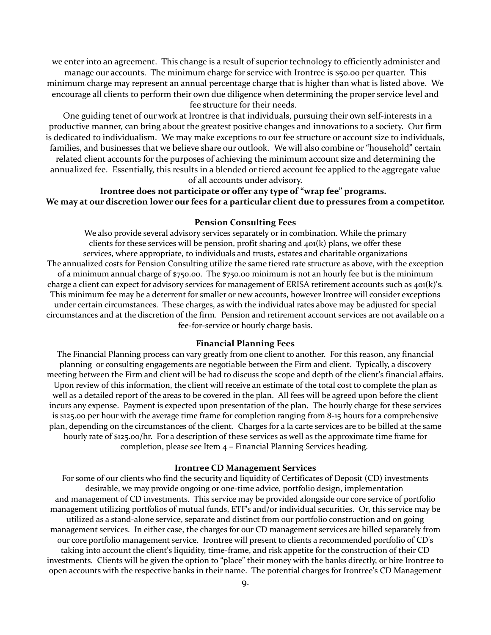we enter into an agreement. This change is a result of superior technology to efficiently administer and manage our accounts. The minimum charge for service with Irontree is \$50.00 per quarter. This minimum charge may represent an annual percentage charge that is higher than what is listed above. We encourage all clients to perform their own due diligence when determining the proper service level and fee structure for their needs.

 One guiding tenet of our work at Irontree is that individuals, pursuing their own self-interests in a productive manner, can bring about the greatest positive changes and innovations to a society. Our firm is dedicated to individualism. We may make exceptions to our fee structure or account size to individuals, families, and businesses that we believe share our outlook. We will also combine or "household" certain related client accounts for the purposes of achieving the minimum account size and determining the annualized fee. Essentially, this results in a blended or tiered account fee applied to the aggregate value of all accounts under advisory.

# **Irontree does not participate or offer any type of "wrap fee" programs. We may at our discretion lower our fees for a particular client due to pressures from a competitor.**

#### **Pension Consulting Fees**

We also provide several advisory services separately or in combination. While the primary clients for these services will be pension, profit sharing and  $40($ k) plans, we offer these services, where appropriate, to individuals and trusts, estates and charitable organizations The annualized costs for Pension Consulting utilize the same tiered rate structure as above, with the exception of a minimum annual charge of \$750.00. The \$750.00 minimum is not an hourly fee but is the minimum charge a client can expect for advisory services for management of ERISA retirement accounts such as 401(k)'s. This minimum fee may be a deterrent for smaller or new accounts, however Irontree will consider exceptions under certain circumstances. These charges, as with the individual rates above may be adjusted for special circumstances and at the discretion of the firm. Pension and retirement account services are not available on a fee-for-service or hourly charge basis.

#### **Financial Planning Fees**

The Financial Planning process can vary greatly from one client to another. For this reason, any financial planning or consulting engagements are negotiable between the Firm and client. Typically, a discovery meeting between the Firm and client will be had to discuss the scope and depth of the client's financial affairs. Upon review of this information, the client will receive an estimate of the total cost to complete the plan as well as a detailed report of the areas to be covered in the plan. All fees will be agreed upon before the client incurs any expense. Payment is expected upon presentation of the plan. The hourly charge for these services is \$125.00 per hour with the average time frame for completion ranging from 8-15 hours for a comprehensive plan, depending on the circumstances of the client. Charges for a la carte services are to be billed at the same hourly rate of \$125.00/hr. For a description of these services as well as the approximate time frame for completion, please see Item 4 – Financial Planning Services heading.

#### **Irontree CD Management Services**

For some of our clients who find the security and liquidity of Certificates of Deposit (CD) investments desirable, we may provide ongoing or one-time advice, portfolio design, implementation and management of CD investments. This service may be provided alongside our core service of portfolio management utilizing portfolios of mutual funds, ETF's and/or individual securities. Or, this service may be utilized as a stand-alone service, separate and distinct from our portfolio construction and on going management services. In either case, the charges for our CD management services are billed separately from our core portfolio management service. Irontree will present to clients a recommended portfolio of CD's taking into account the client's liquidity, time-frame, and risk appetite for the construction of their CD investments. Clients will be given the option to "place" their money with the banks directly, or hire Irontree to open accounts with the respective banks in their name. The potential charges for Irontree's CD Management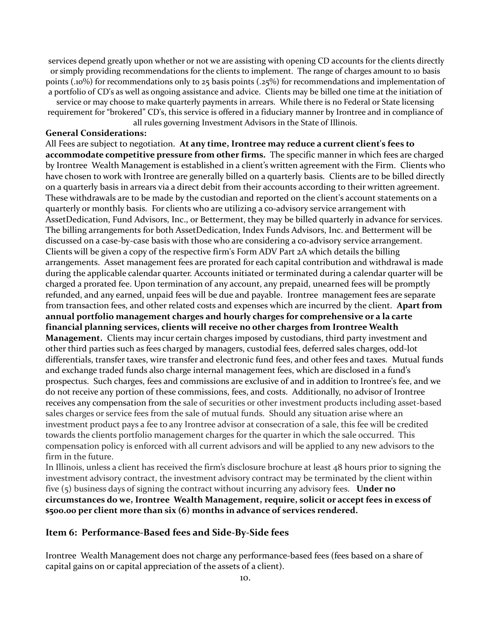services depend greatly upon whether or not we are assisting with opening CD accounts for the clients directly or simply providing recommendations for the clients to implement. The range of charges amount to 10 basis points (.10%) for recommendations only to 25 basis points (.25%) for recommendations and implementation of a portfolio of CD's as well as ongoing assistance and advice. Clients may be billed one time at the initiation of

service or may choose to make quarterly payments in arrears. While there is no Federal or State licensing requirement for "brokered" CD's, this service is offered in a fiduciary manner by Irontree and in compliance of all rules governing Investment Advisors in the State of Illinois.

#### **General Considerations:**

All Fees are subject to negotiation. **At any time, Irontree may reduce a current client's fees to accommodate competitive pressure from other firms.** The specific manner in which fees are charged by Irontree Wealth Management is established in a client's written agreement with the Firm. Clients who have chosen to work with Irontree are generally billed on a quarterly basis. Clients are to be billed directly on a quarterly basis in arrears via a direct debit from their accounts according to their written agreement. These withdrawals are to be made by the custodian and reported on the client's account statements on a quarterly or monthly basis. For clients who are utilizing a co-advisory service arrangement with AssetDedication, Fund Advisors, Inc., or Betterment, they may be billed quarterly in advance for services. The billing arrangements for both AssetDedication, Index Funds Advisors, Inc. and Betterment will be discussed on a case-by-case basis with those who are considering a co-advisory service arrangement. Clients will be given a copy of the respective firm's Form ADV Part 2A which details the billing arrangements. Asset management fees are prorated for each capital contribution and withdrawal is made during the applicable calendar quarter. Accounts initiated or terminated during a calendar quarter will be charged a prorated fee. Upon termination of any account, any prepaid, unearned fees will be promptly refunded, and any earned, unpaid fees will be due and payable. Irontree management fees are separate from transaction fees, and other related costs and expenses which are incurred by the client. **Apart from annual portfolio management charges and hourly charges for comprehensive or a la carte financial planning services, clients will receive no other charges from Irontree Wealth Management.** Clients may incur certain charges imposed by custodians, third party investment and other third parties such as fees charged by managers, custodial fees, deferred sales charges, odd-lot differentials, transfer taxes, wire transfer and electronic fund fees, and other fees and taxes. Mutual funds and exchange traded funds also charge internal management fees, which are disclosed in a fund's prospectus. Such charges, fees and commissions are exclusive of and in addition to Irontree's fee, and we do not receive any portion of these commissions, fees, and costs.Additionally, no advisor of Irontree receives any compensation from the sale of securities or other investment products including asset-based sales charges or service fees from the sale of mutual funds. Should any situation arise where an investment product pays a fee to any Irontree advisor at consecration of a sale, this fee will be credited towards the clients portfolio management charges for the quarter in which the sale occurred. This compensation policy is enforced with all current advisors and will be applied to any new advisors to the firm in the future.

In Illinois, unless a client has received the firm's disclosure brochure at least 48 hours prior to signing the investment advisory contract, the investment advisory contract may be terminated by the client within five (5) business days of signing the contract without incurring any advisory fees. **Under no circumstances do we, Irontree Wealth Management, require, solicit or accept fees in excess of \$500.00 per client more than six (6) months in advance of services rendered.**

#### **Item 6: Performance-Based fees and Side-By-Side fees**

Irontree Wealth Management does not charge any performance-based fees (fees based on a share of capital gains on or capital appreciation of the assets of a client).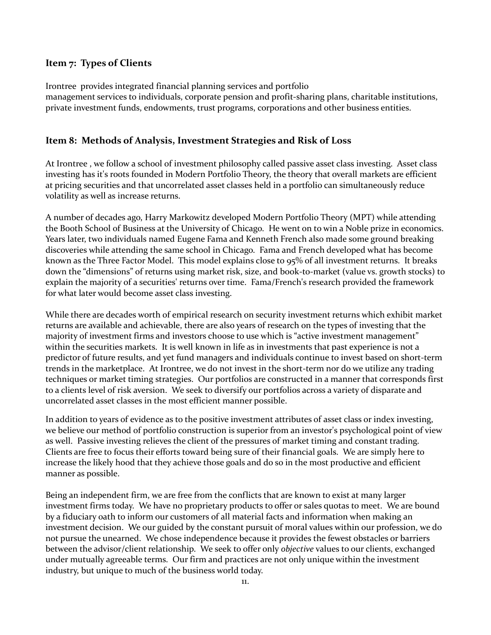#### **Item 7: Types of Clients**

Irontree provides integrated financial planning services and portfolio management services to individuals, corporate pension and profit-sharing plans, charitable institutions, private investment funds, endowments, trust programs, corporations and other business entities.

#### **Item 8: Methods of Analysis, Investment Strategies and Risk of Loss**

At Irontree , we follow a school of investment philosophy called passive asset class investing. Asset class investing has it's roots founded in Modern Portfolio Theory, the theory that overall markets are efficient at pricing securities and that uncorrelated asset classes held in a portfolio can simultaneously reduce volatility as well as increase returns.

A number of decades ago, Harry Markowitz developed Modern Portfolio Theory (MPT) while attending the Booth School of Business at the University of Chicago. He went on to win a Noble prize in economics. Years later, two individuals named Eugene Fama and Kenneth French also made some ground breaking discoveries while attending the same school in Chicago. Fama and French developed what has become known as the Three Factor Model. This model explains close to 95% of all investment returns. It breaks down the "dimensions" of returns using market risk, size, and book-to-market (value vs. growth stocks) to explain the majority of a securities' returns over time. Fama/French's research provided the framework for what later would become asset class investing.

While there are decades worth of empirical research on security investment returns which exhibit market returns are available and achievable, there are also years of research on the types of investing that the majority of investment firms and investors choose to use which is "active investment management" within the securities markets. It is well known in life as in investments that past experience is not a predictor of future results, and yet fund managers and individuals continue to invest based on short-term trends in the marketplace. At Irontree, we do not invest in the short-term nor do we utilize any trading techniques or market timing strategies. Our portfolios are constructed in a manner that corresponds first to a clients level of risk aversion. We seek to diversify our portfolios across a variety of disparate and uncorrelated asset classes in the most efficient manner possible.

In addition to years of evidence as to the positive investment attributes of asset class or index investing, we believe our method of portfolio construction is superior from an investor's psychological point of view as well. Passive investing relieves the client of the pressures of market timing and constant trading. Clients are free to focus their efforts toward being sure of their financial goals. We are simply here to increase the likely hood that they achieve those goals and do so in the most productive and efficient manner as possible.

Being an independent firm, we are free from the conflicts that are known to exist at many larger investment firms today. We have no proprietary products to offer or sales quotas to meet. We are bound by a fiduciary oath to inform our customers of all material facts and information when making an investment decision. We our guided by the constant pursuit of moral values within our profession, we do not pursue the unearned. We chose independence because it provides the fewest obstacles or barriers between the advisor/client relationship. We seek to offer only *objective* values to our clients, exchanged under mutually agreeable terms. Our firm and practices are not only unique within the investment industry, but unique to much of the business world today.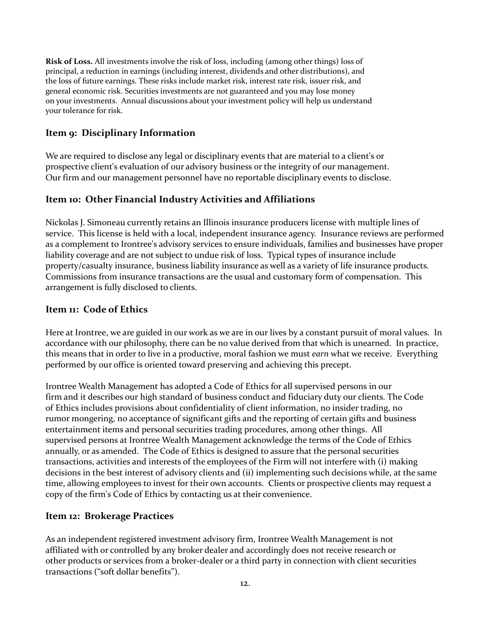**Risk of Loss.** All investments involve the risk of loss, including (among other things) loss of principal, a reduction in earnings (including interest, dividends and other distributions), and the loss of future earnings. These risks include market risk, interest rate risk, issuer risk, and general economic risk. Securities investments are not guaranteed and you may lose money on your investments. Annual discussions about your investment policy will help us understand your tolerance for risk.

# **Item 9: Disciplinary Information**

We are required to disclose any legal or disciplinary events that are material to a client's or prospective client's evaluation of our advisory business or the integrity of our management. Our firm and our management personnel have no reportable disciplinary events to disclose.

# **Item 10: Other Financial Industry Activities and Affiliations**

Nickolas J. Simoneau currently retains an Illinois insurance producers license with multiple lines of service. This license is held with a local, independent insurance agency. Insurance reviews are performed as a complement to Irontree's advisory services to ensure individuals, families and businesses have proper liability coverage and are not subject to undue risk of loss. Typical types of insurance include property/casualty insurance, business liability insurance as well as a variety of life insurance products. Commissions from insurance transactions are the usual and customary form of compensation. This arrangement is fully disclosed to clients.

# **Item 11: Code of Ethics**

Here at Irontree, we are guided in our work as we are in our lives by a constant pursuit of moral values. In accordance with our philosophy, there can be no value derived from that which is unearned. In practice, this means that in order to live in a productive, moral fashion we must *earn* what we receive. Everything performed by our office is oriented toward preserving and achieving this precept.

Irontree Wealth Management has adopted a Code of Ethics for all supervised persons in our firm and it describes our high standard of business conduct and fiduciary duty our clients. The Code of Ethics includes provisions about confidentiality of client information, no insider trading, no rumor mongering, no acceptance of significant gifts and the reporting of certain gifts and business entertainment items and personal securities trading procedures, among other things. All supervised persons at Irontree Wealth Management acknowledge the terms of the Code of Ethics annually, or as amended. The Code of Ethics is designed to assure that the personal securities transactions, activities and interests of the employees of the Firm will not interfere with (i) making decisions in the best interest of advisory clients and (ii) implementing such decisions while, at the same time, allowing employees to invest for their own accounts. Clients or prospective clients may request a copy of the firm's Code of Ethics by contacting us at their convenience.

# **Item 12: Brokerage Practices**

As an independent registered investment advisory firm, Irontree Wealth Management is not affiliated with or controlled by any broker dealer and accordingly does not receive research or other products or services from a broker-dealer or a third party in connection with client securities transactions ("soft dollar benefits").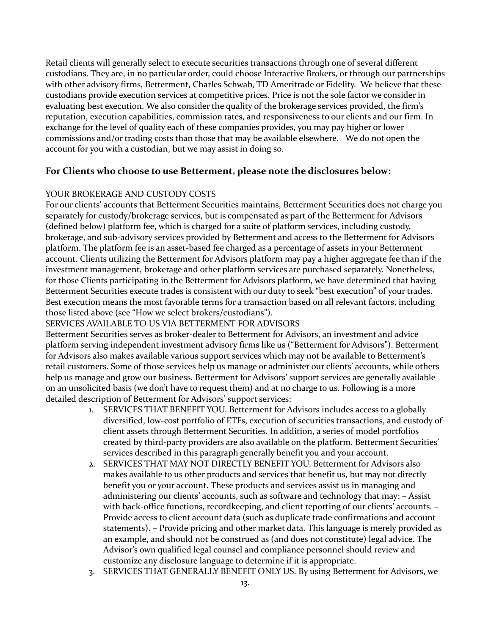Retail clients will generally select to execute securities transactions through one of several different custodians. They are, in no particular order, could choose Interactive Brokers, or through our partnerships with other advisory firms, Betterment, Charles Schwab, TD Ameritrade or Fidelity. We believe that these custodians provide execution services at competitive prices. Price is not the sole factor we consider in evaluating best execution. We also consider the quality of the brokerage services provided, the firm's reputation, execution capabilities, commission rates, and responsiveness to our clients and our firm. In exchange for the level of quality each of these companies provides, you may pay higher or lower commissions and/or trading costs than those that may be available elsewhere. We do not open the account for you with a custodian, but we may assist in doing so.

# **For Clients who choose to use Betterment, please note the disclosures below:**

#### YOUR BROKERAGE AND CUSTODY COSTS

For our clients' accounts that Betterment Securities maintains, Betterment Securities does not charge you separately for custody/brokerage services, but is compensated as part of the Betterment for Advisors (defined below) platform fee, which is charged for a suite of platform services, including custody, brokerage, and sub-advisory services provided by Betterment and access to the Betterment for Advisors platform. The platform fee is an asset-based fee charged as a percentage of assets in your Betterment account. Clients utilizing the Betterment for Advisors platform may pay a higher aggregate fee than if the investment management, brokerage and other platform services are purchased separately. Nonetheless, for those Clients participating in the Betterment for Advisors platform, we have determined that having Betterment Securities execute trades is consistent with our duty to seek "best execution" of your trades. Best execution means the most favorable terms for a transaction based on all relevant factors, including those listed above (see "How we select brokers/custodians").

#### SERVICES AVAILABLE TO US VIA BETTERMENT FOR ADVISORS

Betterment Securities serves as broker-dealer to Betterment for Advisors, an investment and advice platform serving independent investment advisory firms like us ("Betterment for Advisors"). Betterment for Advisors also makes available various support services which may not be available to Betterment's retail customers. Some of those services help us manage or administer our clients' accounts, while others help us manage and grow our business. Betterment for Advisors' support services are generally available on an unsolicited basis (we don't have to request them) and at no charge to us. Following is a more detailed description of Betterment for Advisors' support services:

- 1. SERVICES THAT BENEFIT YOU. Betterment for Advisors includes access to a globally diversified, low-cost portfolio of ETFs, execution of securities transactions, and custody of client assets through Betterment Securities. In addition, a series of model portfolios created by third-party providers are also available on the platform. Betterment Securities' services described in this paragraph generally benefit you and your account.
- 2. SERVICES THAT MAY NOT DIRECTLY BENEFIT YOU. Betterment for Advisors also makes available to us other products and services that benefit us, but may not directly benefit you or your account. These products and services assist us in managing and administering our clients' accounts, such as software and technology that may: – Assist with back-office functions, recordkeeping, and client reporting of our clients' accounts. – Provide access to client account data (such as duplicate trade confirmations and account statements). – Provide pricing and other market data. This language is merely provided as an example, and should not be construed as (and does not constitute) legal advice. The Advisor's own qualified legal counsel and compliance personnel should review and customize any disclosure language to determine if it is appropriate.
- 3. SERVICES THAT GENERALLY BENEFIT ONLY US. By using Betterment for Advisors, we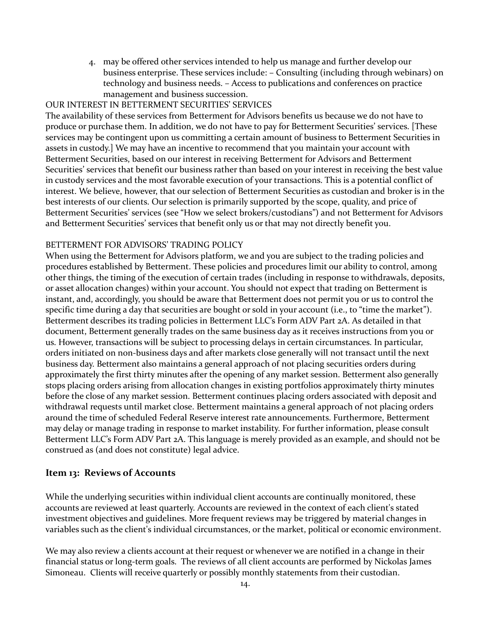4. may be offered other services intended to help us manage and further develop our business enterprise. These services include: – Consulting (including through webinars) on technology and business needs. – Access to publications and conferences on practice management and business succession.

#### OUR INTEREST IN BETTERMENT SECURITIES' SERVICES

The availability of these services from Betterment for Advisors benefits us because we do not have to produce or purchase them. In addition, we do not have to pay for Betterment Securities' services. [These services may be contingent upon us committing a certain amount of business to Betterment Securities in assets in custody.] We may have an incentive to recommend that you maintain your account with Betterment Securities, based on our interest in receiving Betterment for Advisors and Betterment Securities' services that benefit our business rather than based on your interest in receiving the best value in custody services and the most favorable execution of your transactions. This is a potential conflict of interest. We believe, however, that our selection of Betterment Securities as custodian and broker is in the best interests of our clients. Our selection is primarily supported by the scope, quality, and price of Betterment Securities' services (see "How we select brokers/custodians") and not Betterment for Advisors and Betterment Securities' services that benefit only us or that may not directly benefit you.

#### BETTERMENT FOR ADVISORS' TRADING POLICY

When using the Betterment for Advisors platform, we and you are subject to the trading policies and procedures established by Betterment. These policies and procedures limit our ability to control, among other things, the timing of the execution of certain trades (including in response to withdrawals, deposits, or asset allocation changes) within your account. You should not expect that trading on Betterment is instant, and, accordingly, you should be aware that Betterment does not permit you or us to control the specific time during a day that securities are bought or sold in your account (i.e., to "time the market"). Betterment describes its trading policies in Betterment LLC's Form ADV Part 2A. As detailed in that document, Betterment generally trades on the same business day as it receives instructions from you or us. However, transactions will be subject to processing delays in certain circumstances. In particular, orders initiated on non-business days and after markets close generally will not transact until the next business day. Betterment also maintains a general approach of not placing securities orders during approximately the first thirty minutes after the opening of any market session. Betterment also generally stops placing orders arising from allocation changes in existing portfolios approximately thirty minutes before the close of any market session. Betterment continues placing orders associated with deposit and withdrawal requests until market close. Betterment maintains a general approach of not placing orders around the time of scheduled Federal Reserve interest rate announcements. Furthermore, Betterment may delay or manage trading in response to market instability. For further information, please consult Betterment LLC's Form ADV Part 2A. This language is merely provided as an example, and should not be construed as (and does not constitute) legal advice.

#### **Item 13: Reviews of Accounts**

While the underlying securities within individual client accounts are continually monitored, these accounts are reviewed at least quarterly. Accounts are reviewed in the context of each client's stated investment objectives and guidelines. More frequent reviews may be triggered by material changes in variables such as the client's individual circumstances, or the market, political or economic environment.

We may also review a clients account at their request or whenever we are notified in a change in their financial status or long-term goals. The reviews of all client accounts are performed by Nickolas James Simoneau. Clients will receive quarterly or possibly monthly statements from their custodian.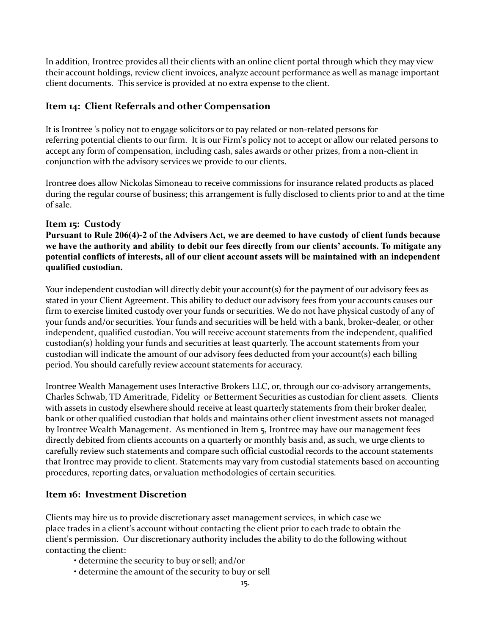In addition, Irontree provides all their clients with an online client portal through which they may view their account holdings, review client invoices, analyze account performance as well as manage important client documents. This service is provided at no extra expense to the client.

# **Item 14: Client Referrals and other Compensation**

It is Irontree 's policy not to engage solicitors or to pay related or non-related persons for referring potential clients to our firm. It is our Firm's policy not to accept or allow our related persons to accept any form of compensation, including cash, sales awards or other prizes, from a non-client in conjunction with the advisory services we provide to our clients.

Irontree does allow Nickolas Simoneau to receive commissions for insurance related products as placed during the regular course of business; this arrangement is fully disclosed to clients prior to and at the time of sale.

# **Item 15: Custody**

**Pursuant to Rule 206(4)-2 of the Advisers Act, we are deemed to have custody of client funds because we have the authority and ability to debit our fees directly from our clients' accounts. To mitigate any potential conflicts of interests, all of our client account assets will be maintained with an independent qualified custodian.** 

Your independent custodian will directly debit your account(s) for the payment of our advisory fees as stated in your Client Agreement. This ability to deduct our advisory fees from your accounts causes our firm to exercise limited custody over your funds or securities. We do not have physical custody of any of your funds and/or securities. Your funds and securities will be held with a bank, broker-dealer, or other independent, qualified custodian. You will receive account statements from the independent, qualified custodian(s) holding your funds and securities at least quarterly. The account statements from your custodian will indicate the amount of our advisory fees deducted from your account(s) each billing period. You should carefully review account statements for accuracy.

Irontree Wealth Management uses Interactive Brokers LLC, or, through our co-advisory arrangements, Charles Schwab, TD Ameritrade, Fidelity or Betterment Securities as custodian for client assets. Clients with assets in custody elsewhere should receive at least quarterly statements from their broker dealer, bank or other qualified custodian that holds and maintains other client investment assets not managed by Irontree Wealth Management. As mentioned in Item 5, Irontree may have our management fees directly debited from clients accounts on a quarterly or monthly basis and, as such, we urge clients to carefully review such statements and compare such official custodial records to the account statements that Irontree may provide to client. Statements may vary from custodial statements based on accounting procedures, reporting dates, or valuation methodologies of certain securities.

# **Item 16: Investment Discretion**

Clients may hire us to provide discretionary asset management services, in which case we place trades in a client's account without contacting the client prior to each trade to obtain the client's permission. Our discretionary authority includes the ability to do the following without contacting the client:

- determine the security to buy or sell; and/or
- determine the amount of the security to buy or sell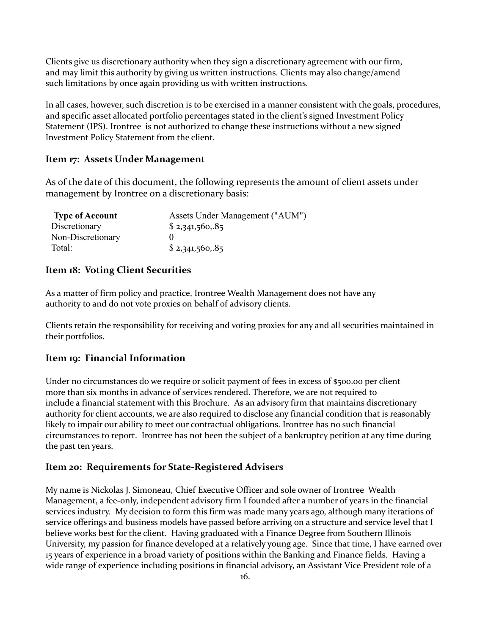Clients give us discretionary authority when they sign a discretionary agreement with our firm, and may limit this authority by giving us written instructions. Clients may also change/amend such limitations by once again providing us with written instructions.

In all cases, however, such discretion is to be exercised in a manner consistent with the goals, procedures, and specific asset allocated portfolio percentages stated in the client's signed Investment Policy Statement (IPS). Irontree is not authorized to change these instructions without a new signed Investment Policy Statement from the client.

#### **Item 17: Assets Under Management**

As of the date of this document, the following represents the amount of client assets under management by Irontree on a discretionary basis:

| <b>Type of Account</b> | Assets Under Management ("AUM") |
|------------------------|---------------------------------|
| Discretionary          | \$2,341,560,.85                 |
| Non-Discretionary      |                                 |
| Total:                 | \$2,341,560,.85                 |

#### **Item 18: Voting Client Securities**

As a matter of firm policy and practice, Irontree Wealth Management does not have any authority to and do not vote proxies on behalf of advisory clients.

Clients retain the responsibility for receiving and voting proxies for any and all securities maintained in their portfolios.

#### **Item 19: Financial Information**

Under no circumstances do we require or solicit payment of fees in excess of \$500.00 per client more than six months in advance of services rendered. Therefore, we are not required to include a financial statement with this Brochure. As an advisory firm that maintains discretionary authority for client accounts, we are also required to disclose any financial condition that is reasonably likely to impair our ability to meet our contractual obligations. Irontree has no such financial circumstances to report. Irontree has not been the subject of a bankruptcy petition at any time during the past ten years.

#### **Item 20: Requirements for State-Registered Advisers**

My name is Nickolas J. Simoneau, Chief Executive Officer and sole owner of Irontree Wealth Management, a fee-only, independent advisory firm I founded after a number of years in the financial services industry. My decision to form this firm was made many years ago, although many iterations of service offerings and business models have passed before arriving on a structure and service level that I believe works best for the client. Having graduated with a Finance Degree from Southern Illinois University, my passion for finance developed at a relatively young age. Since that time, I have earned over 15 years of experience in a broad variety of positions within the Banking and Finance fields. Having a wide range of experience including positions in financial advisory, an Assistant Vice President role of a